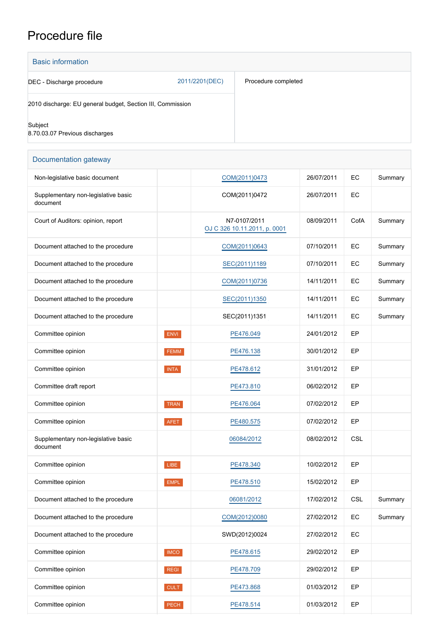## Procedure file

2011/2201(DEC) Basic information DEC - Discharge procedure 2010 discharge: EU general budget, Section III, Commission **Subject** 8.70.03.07 Previous discharges Procedure completed

## Documentation gateway Non-legislative basic document  $\begin{array}{|c|c|c|c|c|c|c|c|}\n\hline\n\text{Non-legislative basic document} & & & \text{COM}(2011)0473 & & & \text{26/07/2011} & \text{EC} & & \text{Summary}\n\hline\n\end{array}$ Supplementary non-legislative basic document COM(2011)0472 26/07/2011 EC Court of Auditors: opinion, report N7-0107/2011 [OJ C 326 10.11.2011, p. 0001](https://eur-lex.europa.eu/legal-content/EN/TXT/?uri=OJ:C:2011:326:TOC) 08/09/2011 | CofA | Summary Document attached to the procedure <br> [COM\(2011\)0643](http://www.europarl.europa.eu/RegData/docs_autres_institutions/commission_europeenne/com/2011/0643/COM_COM(2011)0643_EN.doc) 07/10/2011 EC Summary Document attached to the procedure <br> [SEC\(2011\)1189](http://www.europarl.europa.eu/registre/docs_autres_institutions/commission_europeenne/sec/2011/1189/COM_SEC(2011)1189_EN.pdf) 07/10/2011 EC Summary Document attached to the procedure [COM\(2011\)0736](http://www.europarl.europa.eu/RegData/docs_autres_institutions/commission_europeenne/com/2011/0736/COM_COM(2011)0736_EN.pdf) 14/11/2011 EC Summary Document attached to the procedure <br> [SEC\(2011\)1350](http://www.europarl.europa.eu/RegData/docs_autres_institutions/commission_europeenne/sec/2011/1350/COM_SEC(2011)1350_EN.pdf) 14/11/2011 EC Summary Document attached to the procedure The SEC(2011)1351 14/11/2011 EC Summary Committee opinion **ENVI ENVI [PE476.049](https://www.europarl.europa.eu/doceo/document/ENVI-AD-476049_EN.html)** 24/01/2012 EP Committee opinion **EXAM EXAMPLE 2001/2012** EP Committee opinion **INTA INTA [PE478.612](https://www.europarl.europa.eu/doceo/document/INTA-AD-478612_EN.html)** 31/01/2012 EP Committee draft report **[PE473.810](https://www.europarl.europa.eu/doceo/document/CONT-PR-473810_EN.html)** PE473.810 06/02/2012 EP Committee opinion TRAN [PE476.064](https://www.europarl.europa.eu/doceo/document/TRAN-AD-476064_EN.html) 07/02/2012 EP Committee opinion **AFET** [PE480.575](https://www.europarl.europa.eu/doceo/document/AFET-AD-480575_EN.html) 07/02/2012 EP Supplementary non-legislative basic document [06084/2012](http://register.consilium.europa.eu/content/out?lang=EN&typ=SET&i=ADV&RESULTSET=1&DOC_ID=6084%2F12&DOC_LANCD=EN&ROWSPP=25&NRROWS=500&ORDERBY=DOC_DATE+DESC) 08/02/2012 CSL Committee opinion **LIBE LIBE [PE478.340](https://www.europarl.europa.eu/doceo/document/LIBE-AD-478340_EN.html)** 10/02/2012 EP Committee opinion **EMPL** EMPL [PE478.510](https://www.europarl.europa.eu/doceo/document/EMPL-AD-478510_EN.html) 15/02/2012 EP Document attached to the procedure 100081/2012 [06081/2012](http://register.consilium.europa.eu/content/out?lang=EN&typ=SET&i=ADV&RESULTSET=1&DOC_ID=6081%2F12&DOC_LANCD=EN&ROWSPP=25&NRROWS=500&ORDERBY=DOC_DATE+DESC) 17/02/2012 CSL Summary Document attached to the procedure [COM\(2012\)0080](http://www.europarl.europa.eu/RegData/docs_autres_institutions/commission_europeenne/com/2012/0080/COM_COM(2012)0080_EN.doc) 27/02/2012 EC Summary Document attached to the procedure and the SWD(2012)0024 27/02/2012 EC Committee opinion **IMCO COMPLATE 29/02/2012** EP

Committee opinion **REGI REGI [PE478.709](https://www.europarl.europa.eu/doceo/document/REGI-AD-478709_EN.html)** 29/02/2012 EP

Committee opinion **CONT CULT CULT [PE473.868](https://www.europarl.europa.eu/doceo/document/CULT-AD-473868_EN.html)** 01/03/2012 EP

Committee opinion **PECH PECH [PE478.514](https://www.europarl.europa.eu/doceo/document/PECH-AD-478514_EN.html)** 01/03/2012 EP